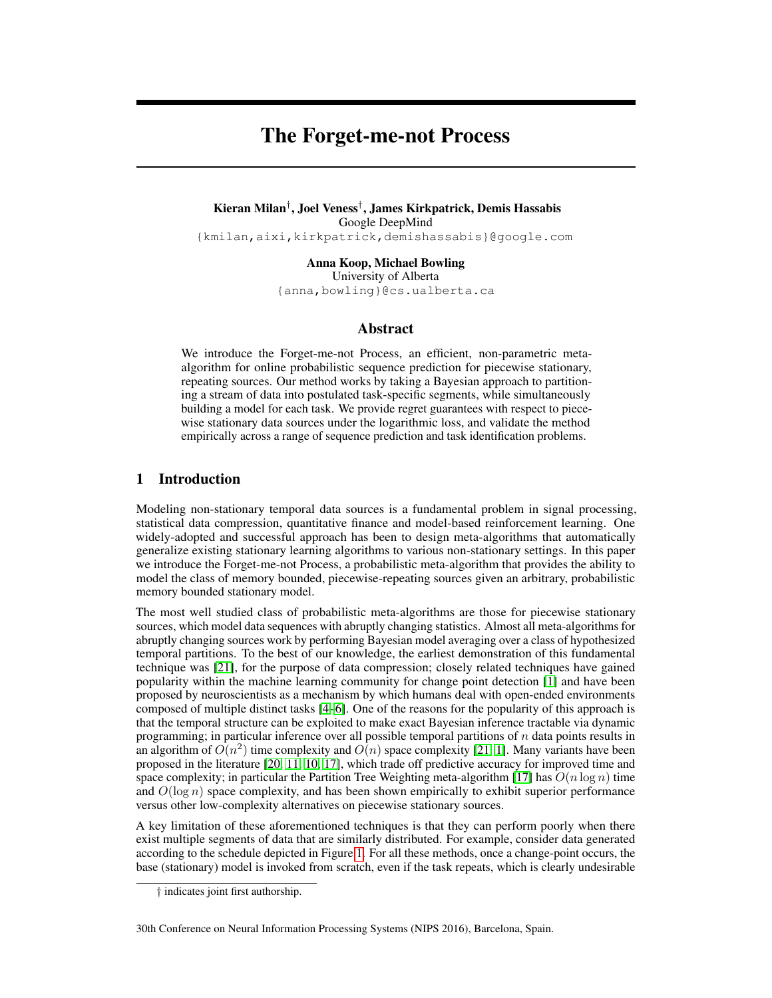# The Forget-me-not Process

Kieran Milan† , Joel Veness† , James Kirkpatrick, Demis Hassabis Google DeepMind {kmilan,aixi,kirkpatrick,demishassabis}@google.com

> Anna Koop, Michael Bowling University of Alberta {anna,bowling}@cs.ualberta.ca

#### Abstract

We introduce the Forget-me-not Process, an efficient, non-parametric metaalgorithm for online probabilistic sequence prediction for piecewise stationary, repeating sources. Our method works by taking a Bayesian approach to partitioning a stream of data into postulated task-specific segments, while simultaneously building a model for each task. We provide regret guarantees with respect to piecewise stationary data sources under the logarithmic loss, and validate the method empirically across a range of sequence prediction and task identification problems.

# 1 Introduction

Modeling non-stationary temporal data sources is a fundamental problem in signal processing, statistical data compression, quantitative finance and model-based reinforcement learning. One widely-adopted and successful approach has been to design meta-algorithms that automatically generalize existing stationary learning algorithms to various non-stationary settings. In this paper we introduce the Forget-me-not Process, a probabilistic meta-algorithm that provides the ability to model the class of memory bounded, piecewise-repeating sources given an arbitrary, probabilistic memory bounded stationary model.

The most well studied class of probabilistic meta-algorithms are those for piecewise stationary sources, which model data sequences with abruptly changing statistics. Almost all meta-algorithms for abruptly changing sources work by performing Bayesian model averaging over a class of hypothesized temporal partitions. To the best of our knowledge, the earliest demonstration of this fundamental technique was [21], for the purpose of data compression; closely related techniques have gained popularity within the machine learning community for change point detection [1] and have been proposed by neuroscientists as a mechanism by which humans deal with open-ended environments composed of multiple distinct tasks [4–6]. One of the reasons for the popularity of this approach is that the temporal structure can be exploited to make exact Bayesian inference tractable via dynamic programming; in particular inference over all possible temporal partitions of  $n$  data points results in an algorithm of  $O(n^2)$  time complexity and  $O(n)$  space complexity [21, 1]. Many variants have been proposed in the literature [20, 11, 10, 17], which trade off predictive accuracy for improved time and space complexity; in particular the Partition Tree Weighting meta-algorithm [17] has  $O(n \log n)$  time and  $O(\log n)$  space complexity, and has been shown empirically to exhibit superior performance versus other low-complexity alternatives on piecewise stationary sources.

A key limitation of these aforementioned techniques is that they can perform poorly when there exist multiple segments of data that are similarly distributed. For example, consider data generated according to the schedule depicted in Figure 1. For all these methods, once a change-point occurs, the base (stationary) model is invoked from scratch, even if the task repeats, which is clearly undesirable

<sup>†</sup> indicates joint first authorship.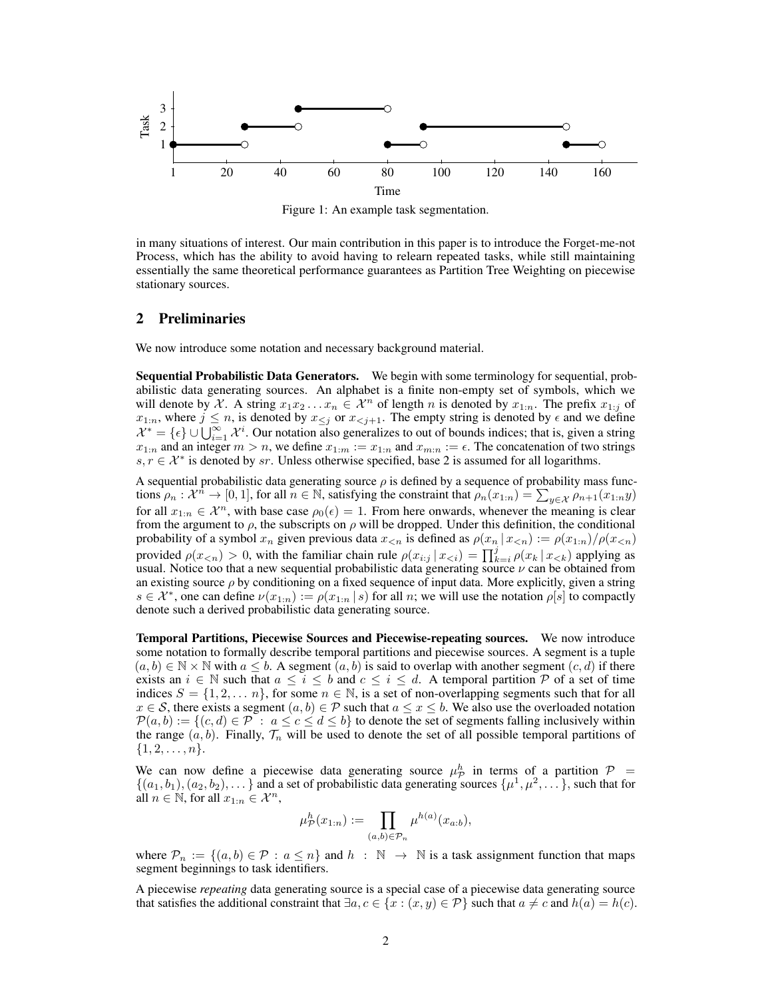

Figure 1: An example task segmentation.

in many situations of interest. Our main contribution in this paper is to introduce the Forget-me-not Process, which has the ability to avoid having to relearn repeated tasks, while still maintaining essentially the same theoretical performance guarantees as Partition Tree Weighting on piecewise stationary sources.

### 2 Preliminaries

We now introduce some notation and necessary background material.

Sequential Probabilistic Data Generators. We begin with some terminology for sequential, probabilistic data generating sources. An alphabet is a finite non-empty set of symbols, which we will denote by X. A string  $x_1x_2...x_n \in \mathcal{X}^n$  of length n is denoted by  $x_{1:n}$ . The prefix  $x_{1:j}$  of  $x_{1:n}$ , where  $j \leq n$ , is denoted by  $x_{\leq j}$  or  $x_{\leq j+1}$ . The empty string is denoted by  $\epsilon$  and we define  $\mathcal{X}^* = \{\epsilon\} \cup \bigcup_{i=1}^{\infty} \mathcal{X}^i$ . Our notation also generalizes to out of bounds indices; that is, given a string  $x_{1:n}$  and an integer  $m > n$ , we define  $x_{1:m} := x_{1:n}$  and  $x_{m:n} := \epsilon$ . The concatenation of two strings  $s, r \in \mathcal{X}^*$  is denoted by sr. Unless otherwise specified, base 2 is assumed for all logarithms.

A sequential probabilistic data generating source  $\rho$  is defined by a sequence of probability mass functions  $\rho_n : \mathcal{X}^n \to [0,1]$ , for all  $n \in \mathbb{N}$ , satisfying the constraint that  $\rho_n(x_{1:n}) = \sum_{y \in \mathcal{X}} \rho_{n+1}(x_{1:n}y)$ for all  $x_{1:n} \in \mathcal{X}^n$ , with base case  $\rho_0(\epsilon) = 1$ . From here onwards, whenever the meaning is clear from the argument to  $\rho$ , the subscripts on  $\rho$  will be dropped. Under this definition, the conditional probability of a symbol  $x_n$  given previous data  $x_{\le n}$  is defined as  $\rho(x_n | x_{\le n}) := \rho(x_{1:n})/\rho(x_{\le n})$ provided  $\rho(x_{\le n}) > 0$ , with the familiar chain rule  $\rho(x_{i:j} | x_{\le i}) = \prod_{k=i}^{j} \rho(x_k | x_{\le k})$  applying as usual. Notice too that a new sequential probabilistic data generating source  $\nu$  can be obtained from an existing source  $\rho$  by conditioning on a fixed sequence of input data. More explicitly, given a string  $s \in \mathcal{X}^*$ , one can define  $\nu(x_{1:n}) := \rho(x_{1:n} | s)$  for all n; we will use the notation  $\rho[s]$  to compactly denote such a derived probabilistic data generating source.

Temporal Partitions, Piecewise Sources and Piecewise-repeating sources. We now introduce some notation to formally describe temporal partitions and piecewise sources. A segment is a tuple  $(a, b) \in \mathbb{N} \times \mathbb{N}$  with  $a \leq b$ . A segment  $(a, b)$  is said to overlap with another segment  $(c, d)$  if there exists an  $i \in \mathbb{N}$  such that  $a \leq i \leq b$  and  $c \leq i \leq d$ . A temporal partition P of a set of time indices  $S = \{1, 2, \dots n\}$ , for some  $n \in \mathbb{N}$ , is a set of non-overlapping segments such that for all  $x \in S$ , there exists a segment  $(a, b) \in P$  such that  $a \le x \le b$ . We also use the overloaded notation  $\mathcal{P}(a, b) := \{(c, d) \in \mathcal{P} : a \leq c \leq d \leq b\}$  to denote the set of segments falling inclusively within the range  $(a, b)$ . Finally,  $\mathcal{T}_n$  will be used to denote the set of all possible temporal partitions of  $\{1, 2, \ldots, n\}.$ 

We can now define a piecewise data generating source  $\mu_{\cal P}^h$  in terms of a partition  ${\cal P}$  =  $\{(a_1,b_1),(a_2,b_2),\ldots\}$  and a set of probabilistic data generating sources  $\{\mu^1,\mu^2,\ldots\}$ , such that for all  $n \in \mathbb{N}$ , for all  $x_{1:n} \in \mathcal{X}^n$ ,

$$
\mu_{\mathcal{P}}^h(x_{1:n}) := \prod_{(a,b)\in\mathcal{P}_n} \mu^{h(a)}(x_{a:b}),
$$

where  $\mathcal{P}_n := \{(a, b) \in \mathcal{P} : a \leq n\}$  and  $h : \mathbb{N} \to \mathbb{N}$  is a task assignment function that maps segment beginnings to task identifiers.

A piecewise *repeating* data generating source is a special case of a piecewise data generating source that satisfies the additional constraint that  $\exists a, c \in \{x : (x, y) \in \mathcal{P}\}\$  such that  $a \neq c$  and  $h(a) = h(c)$ .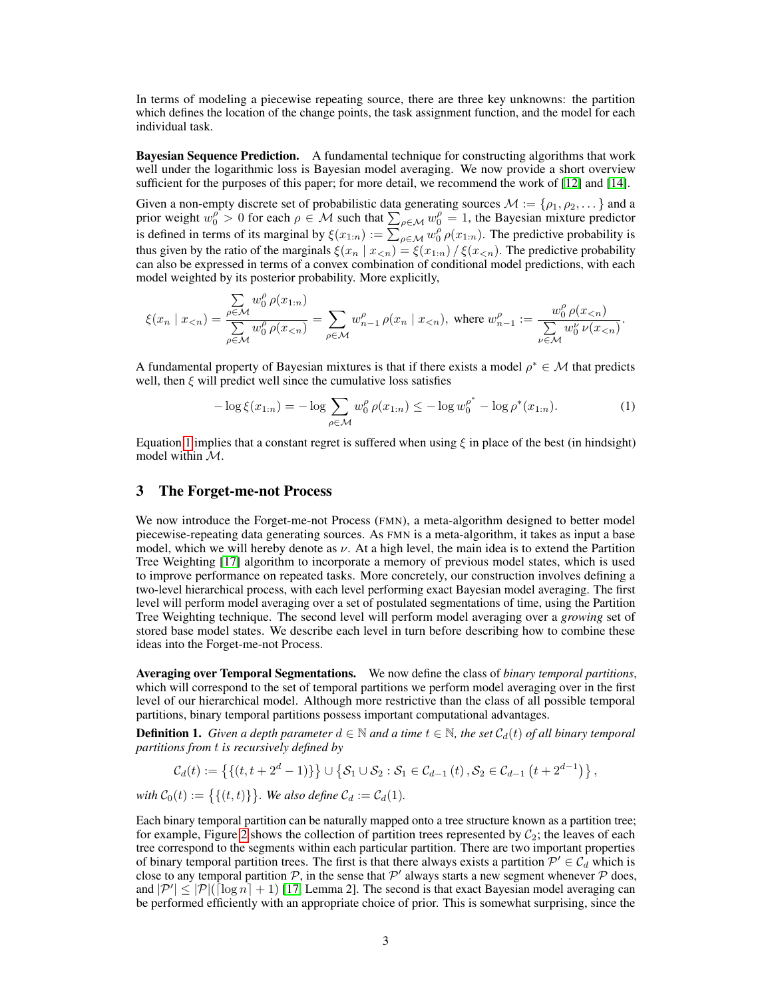In terms of modeling a piecewise repeating source, there are three key unknowns: the partition which defines the location of the change points, the task assignment function, and the model for each individual task.

Bayesian Sequence Prediction. A fundamental technique for constructing algorithms that work well under the logarithmic loss is Bayesian model averaging. We now provide a short overview sufficient for the purposes of this paper; for more detail, we recommend the work of [12] and [14].

Given a non-empty discrete set of probabilistic data generating sources  $\mathcal{M} := \{\rho_1, \rho_2, \dots\}$  and a prior weight  $w_0^{\rho} > 0$  for each  $\rho \in \mathcal{M}$  such that  $\sum_{\rho \in \mathcal{M}} w_0^{\rho} = 1$ , the Bayesian mixture predictor is defined in terms of its marginal by  $\xi(x_{1:n}) := \sum_{\rho \in \mathcal{M}}^{\rho} w_0^{\rho} \rho(x_{1:n})$ . The predictive probability is thus given by the ratio of the marginals  $\xi(x_n | x_{\leq n}) = \xi(x_{1:n}) / \xi(x_{\leq n})$ . The predictive probability can also be expressed in terms of a convex combination of conditional model predictions, with each model weighted by its posterior probability. More explicitly,

$$
\xi(x_n\mid x_{
$$

A fundamental property of Bayesian mixtures is that if there exists a model  $\rho^* \in \mathcal{M}$  that predicts well, then  $\xi$  will predict well since the cumulative loss satisfies

$$
-\log \xi(x_{1:n}) = -\log \sum_{\rho \in \mathcal{M}} w_0^{\rho} \rho(x_{1:n}) \le -\log w_0^{\rho^*} - \log \rho^*(x_{1:n}). \tag{1}
$$

Equation 1 implies that a constant regret is suffered when using  $\xi$  in place of the best (in hindsight) model within  $\mathcal{M}$ .

#### 3 The Forget-me-not Process

We now introduce the Forget-me-not Process (FMN), a meta-algorithm designed to better model piecewise-repeating data generating sources. As FMN is a meta-algorithm, it takes as input a base model, which we will hereby denote as  $\nu$ . At a high level, the main idea is to extend the Partition Tree Weighting [17] algorithm to incorporate a memory of previous model states, which is used to improve performance on repeated tasks. More concretely, our construction involves defining a two-level hierarchical process, with each level performing exact Bayesian model averaging. The first level will perform model averaging over a set of postulated segmentations of time, using the Partition Tree Weighting technique. The second level will perform model averaging over a *growing* set of stored base model states. We describe each level in turn before describing how to combine these ideas into the Forget-me-not Process.

Averaging over Temporal Segmentations. We now define the class of *binary temporal partitions*, which will correspond to the set of temporal partitions we perform model averaging over in the first level of our hierarchical model. Although more restrictive than the class of all possible temporal partitions, binary temporal partitions possess important computational advantages.

**Definition 1.** *Given a depth parameter*  $d \in \mathbb{N}$  *and a time*  $t \in \mathbb{N}$ *, the set*  $C_d(t)$  *of all binary temporal partitions from* t *is recursively defined by*

$$
\mathcal{C}_d(t) := \left\{ \{ (t, t + 2^d - 1) \} \right\} \cup \{ \mathcal{S}_1 \cup \mathcal{S}_2 : \mathcal{S}_1 \in \mathcal{C}_{d-1}(t), \mathcal{S}_2 \in \mathcal{C}_{d-1}(t + 2^{d-1}) \},
$$

*with*  $C_0(t) := \{ \{ (t, t) \} \}$ *. We also define*  $C_d := C_d(1)$ *.* 

Each binary temporal partition can be naturally mapped onto a tree structure known as a partition tree; for example, Figure 2 shows the collection of partition trees represented by  $C_2$ ; the leaves of each tree correspond to the segments within each particular partition. There are two important properties of binary temporal partition trees. The first is that there always exists a partition  $\mathcal{P}' \in \mathcal{C}_d$  which is close to any temporal partition  $P$ , in the sense that  $P'$  always starts a new segment whenever  $P$  does, and  $|\mathcal{P}'| \leq |\mathcal{P}|(\lceil \log n \rceil + 1)$  [17, Lemma 2]. The second is that exact Bayesian model averaging can be performed efficiently with an appropriate choice of prior. This is somewhat surprising, since the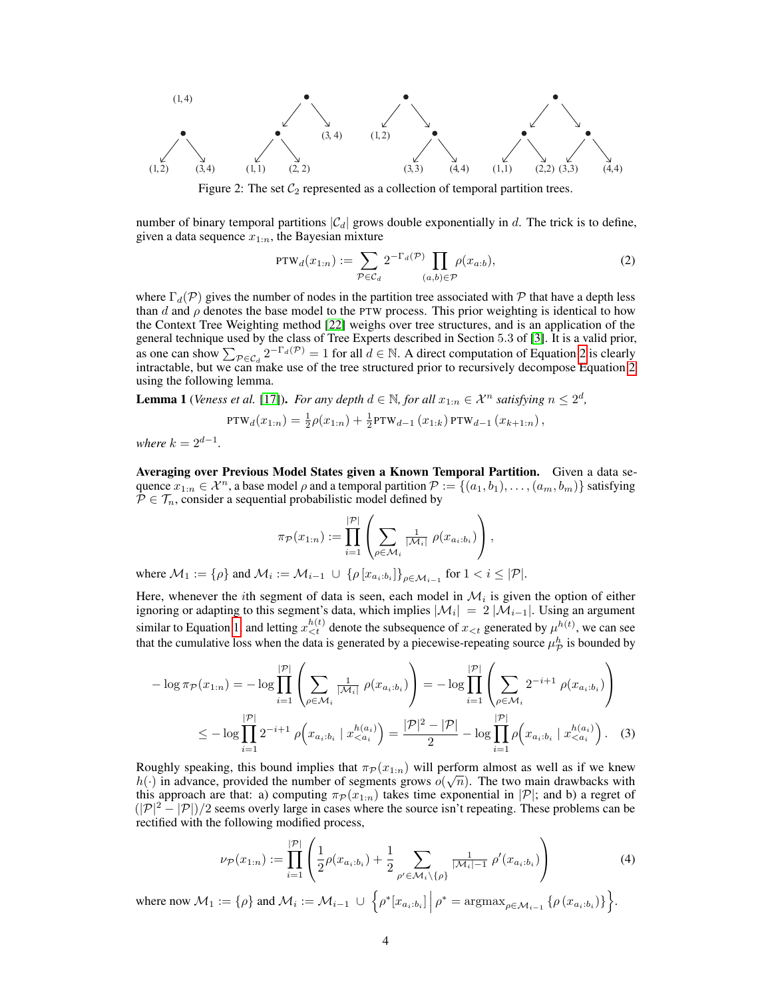

Figure 2: The set  $C_2$  represented as a collection of temporal partition trees.

number of binary temporal partitions  $|\mathcal{C}_d|$  grows double exponentially in d. The trick is to define, given a data sequence  $x_{1:n}$ , the Bayesian mixture

$$
PTW_d(x_{1:n}) := \sum_{\mathcal{P} \in \mathcal{C}_d} 2^{-\Gamma_d(\mathcal{P})} \prod_{(a,b) \in \mathcal{P}} \rho(x_{a:b}),
$$
\n(2)

where  $\Gamma_d(\mathcal{P})$  gives the number of nodes in the partition tree associated with  $\mathcal P$  that have a depth less than d and  $\rho$  denotes the base model to the PTW process. This prior weighting is identical to how the Context Tree Weighting method [22] weighs over tree structures, and is an application of the general technique used by the class of Tree Experts described in Section 5.3 of [3]. It is a valid prior, as one can show  $\sum_{\mathcal{P} \in \mathcal{C}_d} 2^{-\Gamma_d(\mathcal{P})} = 1$  for all  $d \in \mathbb{N}$ . A direct computation of Equation 2 is clearly intractable, but we can make use of the tree structured prior to recursively decompose Equation  $\tilde{2}$ using the following lemma.

**Lemma 1** (*Veness et al.* [17]). *For any depth*  $d \in \mathbb{N}$ , *for all*  $x_{1:n} \in \mathcal{X}^n$  *satisfying*  $n \leq 2^d$ ,

$$
PTW_d(x_{1:n}) = \frac{1}{2}\rho(x_{1:n}) + \frac{1}{2}PTW_{d-1}(x_{1:k})PTW_{d-1}(x_{k+1:n}),
$$

*where*  $k = 2^{d-1}$ *.* 

Averaging over Previous Model States given a Known Temporal Partition. Given a data sequence  $x_{1:n} \in \mathcal{X}^n$ , a base model  $\rho$  and a temporal partition  $\mathcal{P} := \{(a_1, b_1), \ldots, (a_m, b_m)\}\$  satisfying  $P \in \mathcal{T}_n$ , consider a sequential probabilistic model defined by

$$
\pi_{\mathcal{P}}(x_{1:n}) := \prod_{i=1}^{|\mathcal{P}|} \left( \sum_{\rho \in \mathcal{M}_i} \frac{1}{|\mathcal{M}_i|} \rho(x_{a_i:b_i}) \right),
$$

where  $\mathcal{M}_1 := \{\rho\}$  and  $\mathcal{M}_i := \mathcal{M}_{i-1} \cup \{\rho [x_{a_i:b_i}]\}_{\rho \in \mathcal{M}_{i-1}}$  for  $1 < i \leq |\mathcal{P}|$ .

Here, whenever the *i*th segment of data is seen, each model in  $\mathcal{M}_i$  is given the option of either ignoring or adapting to this segment's data, which implies  $|\mathcal{M}_i|~=~2$   $|\mathcal{M}_{i-1}|.$  Using an argument similar to Equation 1, and letting  $x_{\leq t}^{h(t)}$  denote the subsequence of  $x_{\leq t}$  generated by  $\mu^{h(t)}$ , we can see that the cumulative loss when the data is generated by a piecewise-repeating source  $\mu_{\cal P}^h$  is bounded by

$$
-\log \pi_{\mathcal{P}}(x_{1:n}) = -\log \prod_{i=1}^{|\mathcal{P}|} \left( \sum_{\rho \in \mathcal{M}_i} \frac{1}{|\mathcal{M}_i|} \rho(x_{a_i:b_i}) \right) = -\log \prod_{i=1}^{|\mathcal{P}|} \left( \sum_{\rho \in \mathcal{M}_i} 2^{-i+1} \rho(x_{a_i:b_i}) \right)
$$
  

$$
\leq -\log \prod_{i=1}^{|\mathcal{P}|} 2^{-i+1} \rho(x_{a_i:b_i} | x_{< a_i}^{h(a_i)}) = \frac{|\mathcal{P}|^2 - |\mathcal{P}|}{2} - \log \prod_{i=1}^{|\mathcal{P}|} \rho(x_{a_i:b_i} | x_{< a_i}^{h(a_i)}) . \tag{3}
$$

Roughly speaking, this bound implies that  $\pi_P(x_{1:n})$  will perform almost as well as if we knew  $h(\cdot)$  in advance, provided the number of segments grows  $o(\sqrt{n})$ . The two main drawbacks with this approach are that: a) computing  $\pi_{\mathcal{P}}(x_{1:n})$  takes time exponential in  $|\mathcal{P}|$ ; and b) a regret of  $(|\mathcal{P}|^2 - |\mathcal{P}|)/2$  seems overly large in cases where the source isn't repeating. These problems can be rectified with the following modified process,

$$
\nu_{\mathcal{P}}(x_{1:n}) := \prod_{i=1}^{|\mathcal{P}|} \left( \frac{1}{2} \rho(x_{a_i:b_i}) + \frac{1}{2} \sum_{\rho' \in \mathcal{M}_i \setminus \{\rho\}} \frac{1}{|\mathcal{M}_i| - 1} \rho'(x_{a_i:b_i}) \right)
$$
(4)

where now  $M_1 := \{\rho\}$  and  $M_i := \mathcal{M}_{i-1} \cup \{\rho^*[x_{a_i:b_i}] \mid \rho^* = \operatorname{argmax}_{\rho \in \mathcal{M}_{i-1}} \{\rho(x_{a_i:b_i})\}\}.$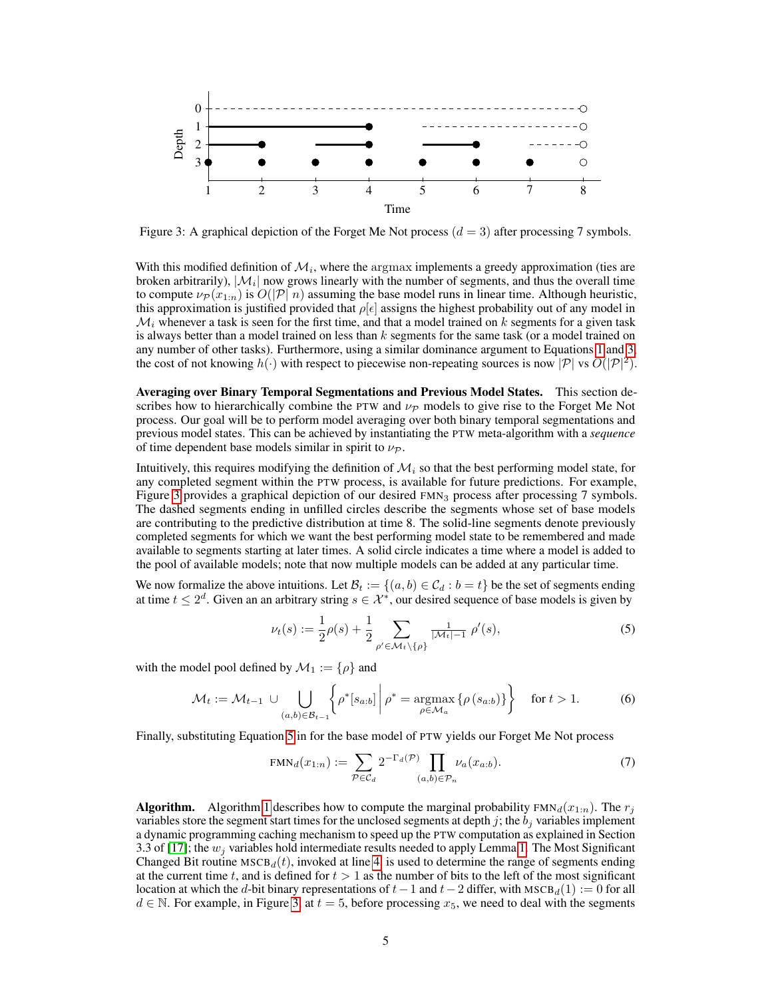

Figure 3: A graphical depiction of the Forget Me Not process  $(d = 3)$  after processing 7 symbols.

With this modified definition of  $\mathcal{M}_i$ , where the argmax implements a greedy approximation (ties are broken arbitrarily),  $|\mathcal{M}_i|$  now grows linearly with the number of segments, and thus the overall time to compute  $\nu_P(x_{1:n})$  is  $O(|P|n)$  assuming the base model runs in linear time. Although heuristic, this approximation is justified provided that  $\rho |\epsilon|$  assigns the highest probability out of any model in  $\mathcal{M}_i$  whenever a task is seen for the first time, and that a model trained on k segments for a given task is always better than a model trained on less than  $k$  segments for the same task (or a model trained on any number of other tasks). Furthermore, using a similar dominance argument to Equations 1 and 3, the cost of not knowing  $h(\cdot)$  with respect to piecewise non-repeating sources is now  $|\mathcal{P}|$  vs  $O(|\mathcal{P}|^2)$ .

Averaging over Binary Temporal Segmentations and Previous Model States. This section describes how to hierarchically combine the PTW and  $\nu_{\mathcal{P}}$  models to give rise to the Forget Me Not process. Our goal will be to perform model averaging over both binary temporal segmentations and previous model states. This can be achieved by instantiating the PTW meta-algorithm with a *sequence* of time dependent base models similar in spirit to  $\nu_{\mathcal{P}}$ .

Intuitively, this requires modifying the definition of  $\mathcal{M}_i$  so that the best performing model state, for any completed segment within the PTW process, is available for future predictions. For example, Figure 3 provides a graphical depiction of our desired FMN<sub>3</sub> process after processing 7 symbols. The dashed segments ending in unfilled circles describe the segments whose set of base models are contributing to the predictive distribution at time 8. The solid-line segments denote previously completed segments for which we want the best performing model state to be remembered and made available to segments starting at later times. A solid circle indicates a time where a model is added to the pool of available models; note that now multiple models can be added at any particular time.

We now formalize the above intuitions. Let  $\mathcal{B}_t := \{(a, b) \in \mathcal{C}_d : b = t\}$  be the set of segments ending at time  $t \leq 2^d$ . Given an an arbitrary string  $s \in \mathcal{X}^*$ , our desired sequence of base models is given by

$$
\nu_t(s) := \frac{1}{2}\rho(s) + \frac{1}{2} \sum_{\rho' \in \mathcal{M}_t \setminus \{\rho\}} \frac{1}{|\mathcal{M}_t| - 1} \rho'(s),\tag{5}
$$

with the model pool defined by  $\mathcal{M}_1 := \{ \rho \}$  and

$$
\mathcal{M}_t := \mathcal{M}_{t-1} \cup \bigcup_{(a,b)\in\mathcal{B}_{t-1}} \left\{ \rho^* [s_{a:b}] \middle| \rho^* = \underset{\rho \in \mathcal{M}_a}{\operatorname{argmax}} \left\{ \rho \left( s_{a:b} \right) \right\} \right\} \quad \text{for } t > 1. \tag{6}
$$

Finally, substituting Equation 5 in for the base model of PTW yields our Forget Me Not process

$$
FMN_d(x_{1:n}) := \sum_{\mathcal{P} \in \mathcal{C}_d} 2^{-\Gamma_d(\mathcal{P})} \prod_{(a,b) \in \mathcal{P}_n} \nu_a(x_{a:b}).
$$
\n(7)

**Algorithm.** Algorithm 1 describes how to compute the marginal probability  $FMM_d(x_{1:n})$ . The  $r_i$ variables store the segment start times for the unclosed segments at depth  $j$ ; the  $b_j$  variables implement a dynamic programming caching mechanism to speed up the PTW computation as explained in Section 3.3 of [17]; the  $w_i$  variables hold intermediate results needed to apply Lemma 1. The Most Significant Changed Bit routine  $MSCB_d(t)$ , invoked at line 4, is used to determine the range of segments ending at the current time t, and is defined for  $t > 1$  as the number of bits to the left of the most significant location at which the d-bit binary representations of  $t-1$  and  $t-2$  differ, with MSCB<sub>d</sub>(1) := 0 for all  $d \in \mathbb{N}$ . For example, in Figure 3, at  $t = 5$ , before processing  $x_5$ , we need to deal with the segments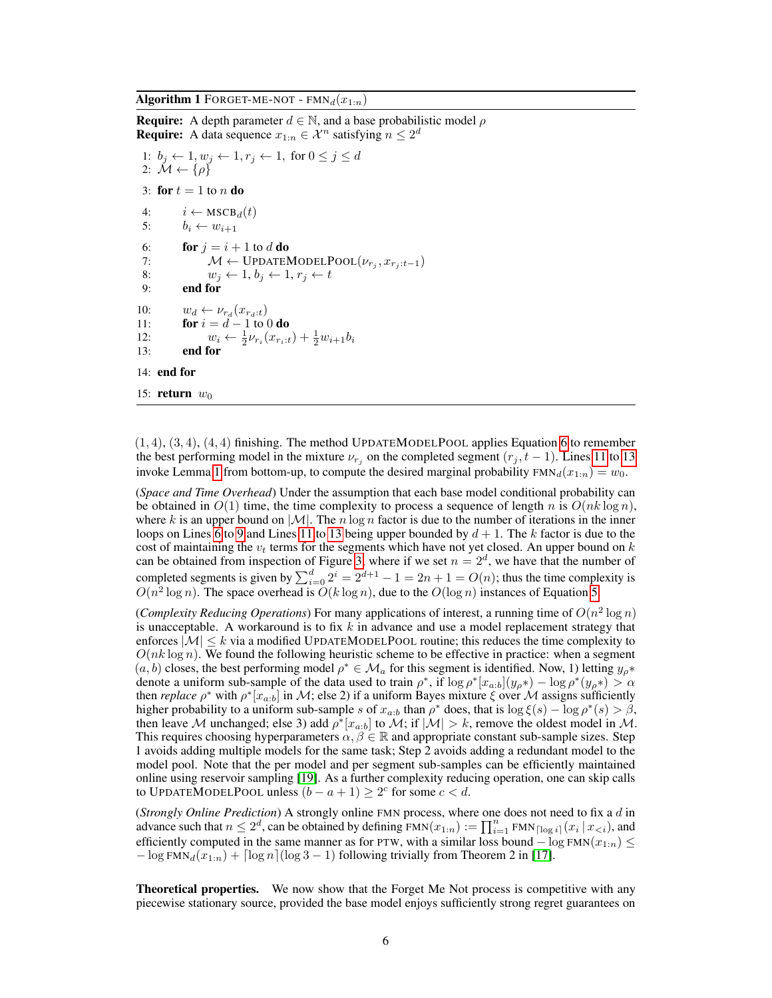**Algorithm 1** FORGET-ME-NOT -  $\text{FMN}_d(x_{1:n})$ 

```
Require: A depth parameter d \in \mathbb{N}, and a base probabilistic model \rhoRequire: A data sequence x_{1:n} \in \mathcal{X}^n satisfying n \leq 2^d1: b_j \leftarrow 1, w_j \leftarrow 1, r_j \leftarrow 1, for 0 \leq j \leq d2: \mathcal{M} \leftarrow \{\rho\}3: for t = 1 to n do
 4: i \leftarrow \text{MSCB}_d(t)5: b_i \leftarrow w_{i+1}6: for j = i + 1 to d do
 7: M \leftarrow \text{UPDATEMODELPool}(\nu_{r_j}, x_{r_j:t-1})8: w_j \leftarrow 1, b_j \leftarrow 1, r_j \leftarrow t9: end for
10: w_d \leftarrow \nu_{r_d}(x_{r_d:t})11: for i = d - 1 to 0 do
12: w_i \leftarrow \frac{1}{2} \nu_{r_i}(x_{r_i:t}) + \frac{1}{2} w_{i+1} b_i13: end for
14: end for
15: return w_0
```
 $(1, 4), (3, 4), (4, 4)$  finishing. The method UPDATEMODELPOOL applies Equation 6 to remember the best performing model in the mixture  $\nu_{r_j}$  on the completed segment  $(r_j, t-1)$ . Lines 11 to 13 invoke Lemma 1 from bottom-up, to compute the desired marginal probability  $FMN_d(x_{1:n}) = w_0$ .

(*Space and Time Overhead*) Under the assumption that each base model conditional probability can be obtained in  $O(1)$  time, the time complexity to process a sequence of length n is  $O(nk \log n)$ , where k is an upper bound on  $|\mathcal{M}|$ . The n log n factor is due to the number of iterations in the inner loops on Lines 6 to 9 and Lines 11 to 13 being upper bounded by  $d + 1$ . The k factor is due to the cost of maintaining the  $v_t$  terms for the segments which have not yet closed. An upper bound on  $k$ can be obtained from inspection of Figure 3, where if we set  $n = 2<sup>d</sup>$ , we have that the number of completed segments is given by  $\sum_{i=0}^{d} 2^{i} = 2^{d+1} - 1 = 2n + 1 = O(n)$ ; thus the time complexity is  $O(n^2 \log n)$ . The space overhead is  $O(k \log n)$ , due to the  $O(\log n)$  instances of Equation 5.

(*Complexity Reducing Operations*) For many applications of interest, a running time of  $O(n^2 \log n)$ is unacceptable. A workaround is to fix k in advance and use a model replacement strategy that enforces  $|M| \leq k$  via a modified UPDATEMODELPOOL routine; this reduces the time complexity to  $O(nk \log n)$ . We found the following heuristic scheme to be effective in practice: when a segment  $(a, b)$  closes, the best performing model  $\rho^* \in \mathcal{M}_a$  for this segment is identified. Now, 1) letting  $y_{\rho^*}$ denote a uniform sub-sample of the data used to train  $\rho^*$ , if  $\log \rho^* [x_{a:b}] (y_{\rho^*}) - \log \rho^* (y_{\rho^*}) > \alpha$ then *replace*  $\rho^*$  with  $\rho^*[x_{a:b}]$  in M; else 2) if a uniform Bayes mixture  $\xi$  over M assigns sufficiently higher probability to a uniform sub-sample s of  $x_{a:b}$  than  $\rho^*$  does, that is  $\log \xi(s) - \log \rho^*(s) > \beta$ , then leave M unchanged; else 3) add  $\rho^*[x_{a:b}]$  to M; if  $|M| > k$ , remove the oldest model in M. This requires choosing hyperparameters  $\alpha, \beta \in \mathbb{R}$  and appropriate constant sub-sample sizes. Step 1 avoids adding multiple models for the same task; Step 2 avoids adding a redundant model to the model pool. Note that the per model and per segment sub-samples can be efficiently maintained online using reservoir sampling [19]. As a further complexity reducing operation, one can skip calls to UPDATEMODELPOOL unless  $(b - a + 1) \ge 2^c$  for some  $c < d$ .

(*Strongly Online Prediction*) A strongly online FMN process, where one does not need to fix a d in advance such that  $n \leq 2^d$ , can be obtained by defining  $\text{FMN}(x_{1:n}) := \prod_{i=1}^n \text{FMN}_{\lceil \log i \rceil}(x_i \mid x_{\leq i})$ , and efficiently computed in the same manner as for PTW, with a similar loss bound  $-\log FMN(x_{1:n})$  $-\log FMN_d(x_{1:n}) + \log n(\log 3 - 1)$  following trivially from Theorem 2 in [17].

Theoretical properties. We now show that the Forget Me Not process is competitive with any piecewise stationary source, provided the base model enjoys sufficiently strong regret guarantees on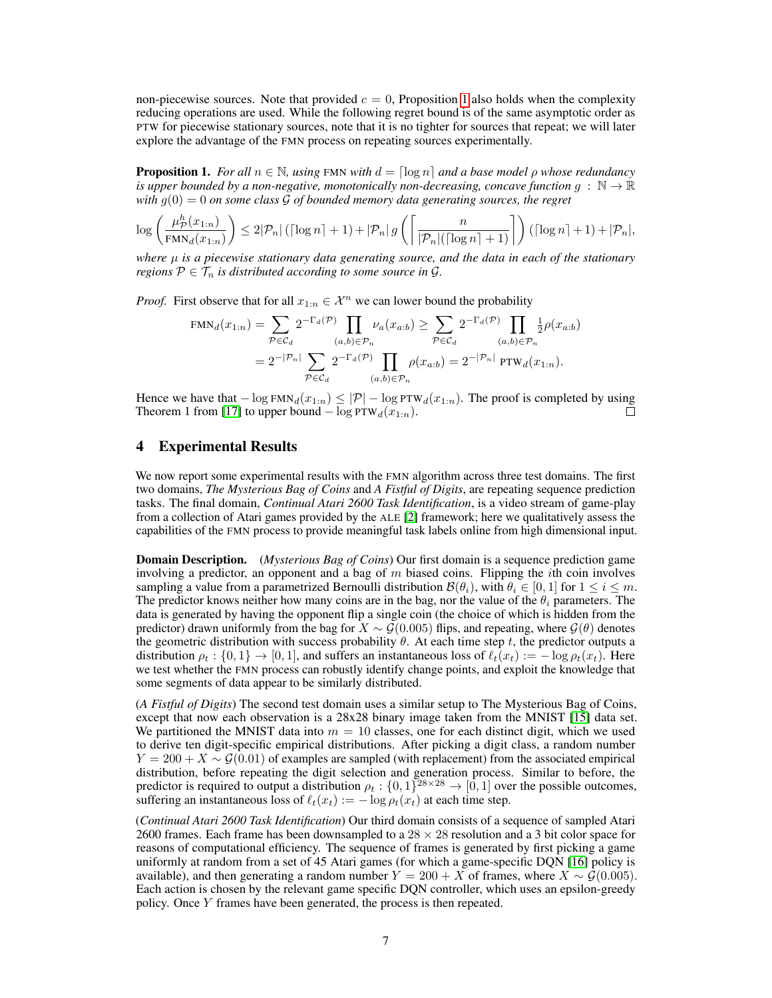non-piecewise sources. Note that provided  $c = 0$ , Proposition 1 also holds when the complexity reducing operations are used. While the following regret bound is of the same asymptotic order as PTW for piecewise stationary sources, note that it is no tighter for sources that repeat; we will later explore the advantage of the FMN process on repeating sources experimentally.

**Proposition 1.** *For all*  $n \in \mathbb{N}$ *, using* FMN *with*  $d = \lceil \log n \rceil$  *and a base model ρ whose redundancy is upper bounded by a non-negative, monotonically non-decreasing, concave function*  $q : \mathbb{N} \to \mathbb{R}$ *with*  $g(0) = 0$  *on some class*  $\mathcal G$  *of bounded memory data generating sources, the regret* 

$$
\log \left(\frac{\mu^h_{\mathcal{P}}(x_{1:n})}{\text{FMN}_d(x_{1:n})}\right) \leq 2|\mathcal{P}_n| \left(\left\lceil \log n \right\rceil + 1 \right) + |\mathcal{P}_n| \, g\left(\left\lceil \frac{n}{|\mathcal{P}_n| \left(\left\lceil \log n \right\rceil + 1\right)}\right\rceil \right) \left(\left\lceil \log n \right\rceil + 1 \right) + |\mathcal{P}_n|,
$$

*where* µ *is a piecewise stationary data generating source, and the data in each of the stationary regions*  $P \in \mathcal{T}_n$  *is distributed according to some source in G.* 

*Proof.* First observe that for all  $x_{1:n} \in \mathcal{X}^n$  we can lower bound the probability

$$
\text{FMN}_d(x_{1:n}) = \sum_{\mathcal{P} \in \mathcal{C}_d} 2^{-\Gamma_d(\mathcal{P})} \prod_{(a,b) \in \mathcal{P}_n} \nu_a(x_{a:b}) \ge \sum_{\mathcal{P} \in \mathcal{C}_d} 2^{-\Gamma_d(\mathcal{P})} \prod_{(a,b) \in \mathcal{P}_n} \frac{1}{2} \rho(x_{a:b})
$$
  
=  $2^{-|\mathcal{P}_n|} \sum_{\mathcal{P} \in \mathcal{C}_d} 2^{-\Gamma_d(\mathcal{P})} \prod_{(a,b) \in \mathcal{P}_n} \rho(x_{a:b}) = 2^{-|\mathcal{P}_n|} \text{PTW}_d(x_{1:n}).$ 

Hence we have that  $-\log \text{FMN}_d(x_{1:n}) \leq |\mathcal{P}| - \log \text{FTW}_d(x_{1:n})$ . The proof is completed by using Theorem 1 from [17] to upper bound  $-\log PTW_d(\mathbf{x}_{1:n}).$ П

## 4 Experimental Results

We now report some experimental results with the FMN algorithm across three test domains. The first two domains, *The Mysterious Bag of Coins* and *A Fistful of Digits*, are repeating sequence prediction tasks. The final domain, *Continual Atari 2600 Task Identification*, is a video stream of game-play from a collection of Atari games provided by the ALE [2] framework; here we qualitatively assess the capabilities of the FMN process to provide meaningful task labels online from high dimensional input.

Domain Description. (*Mysterious Bag of Coins*) Our first domain is a sequence prediction game involving a predictor, an opponent and a bag of  $m$  biased coins. Flipping the *i*th coin involves sampling a value from a parametrized Bernoulli distribution  $\mathcal{B}(\theta_i)$ , with  $\theta_i \in [0,1]$  for  $1 \leq i \leq m$ . The predictor knows neither how many coins are in the bag, nor the value of the  $\theta_i$  parameters. The data is generated by having the opponent flip a single coin (the choice of which is hidden from the predictor) drawn uniformly from the bag for  $X \sim \mathcal{G}(0.005)$  flips, and repeating, where  $\mathcal{G}(\theta)$  denotes the geometric distribution with success probability  $\theta$ . At each time step t, the predictor outputs a distribution  $\rho_t$  :  $\{0,1\} \rightarrow [0,1]$ , and suffers an instantaneous loss of  $\ell_t(x_t) := -\log \rho_t(x_t)$ . Here we test whether the FMN process can robustly identify change points, and exploit the knowledge that some segments of data appear to be similarly distributed.

(*A Fistful of Digits*) The second test domain uses a similar setup to The Mysterious Bag of Coins, except that now each observation is a 28x28 binary image taken from the MNIST [15] data set. We partitioned the MNIST data into  $m = 10$  classes, one for each distinct digit, which we used to derive ten digit-specific empirical distributions. After picking a digit class, a random number  $Y = 200 + X \sim \mathcal{G}(0.01)$  of examples are sampled (with replacement) from the associated empirical distribution, before repeating the digit selection and generation process. Similar to before, the predictor is required to output a distribution  $\rho_t: \{0,1\}^{28 \times 28} \to [0,1]$  over the possible outcomes, suffering an instantaneous loss of  $\ell_t(x_t) := -\log \rho_t(x_t)$  at each time step.

(*Continual Atari 2600 Task Identification*) Our third domain consists of a sequence of sampled Atari 2600 frames. Each frame has been downsampled to a  $28 \times 28$  resolution and a 3 bit color space for reasons of computational efficiency. The sequence of frames is generated by first picking a game uniformly at random from a set of 45 Atari games (for which a game-specific DQN [16] policy is available), and then generating a random number  $Y = 200 + X$  of frames, where  $X \sim \mathcal{G}(0.005)$ . Each action is chosen by the relevant game specific DQN controller, which uses an epsilon-greedy policy. Once Y frames have been generated, the process is then repeated.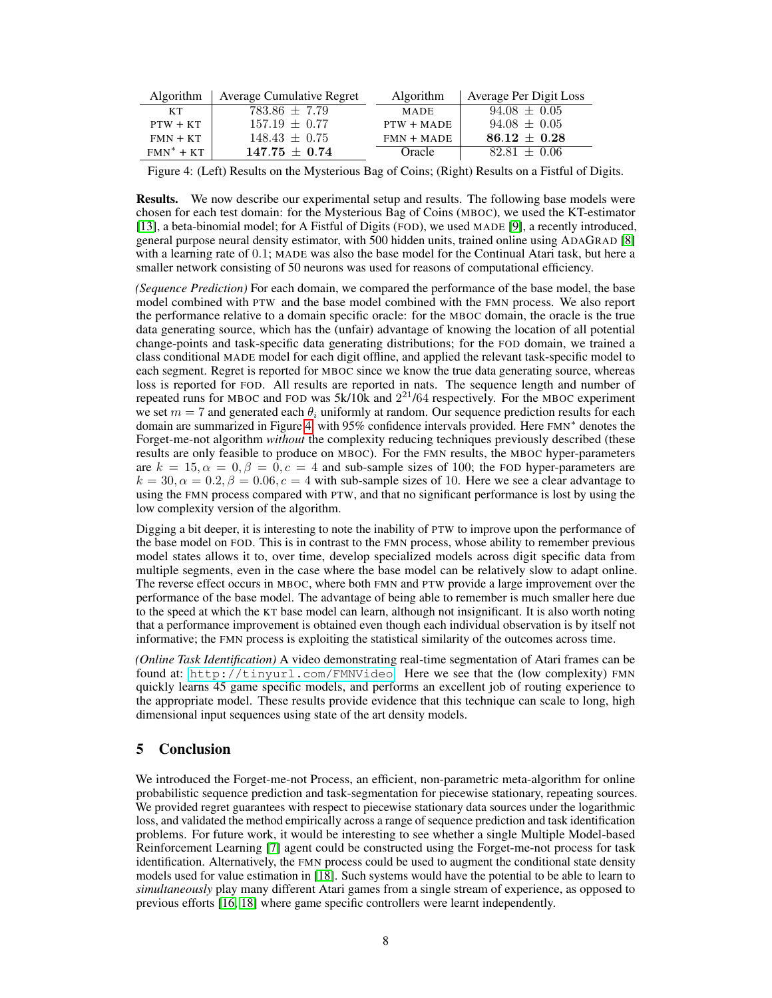| <b>Algorithm</b> | <b>Average Cumulative Regret</b> | <b>Algorithm</b> | Average Per Digit Loss |
|------------------|----------------------------------|------------------|------------------------|
| KТ               | $783.86 \pm 7.79$                | <b>MADE</b>      | $94.08 \pm 0.05$       |
| $PTW + KT$       | $157.19 \pm 0.77$                | $PTW + MAPE$     | $94.08 \pm 0.05$       |
| $FMN + KT$       | $148.43 \pm 0.75$                | $FMN + MADE$     | $86.12 + 0.28$         |
| $FMN^* + KT$     | $147.75 + 0.74$                  | Oracle           | $82.81 + 0.06$         |

Figure 4: (Left) Results on the Mysterious Bag of Coins; (Right) Results on a Fistful of Digits.

Results. We now describe our experimental setup and results. The following base models were chosen for each test domain: for the Mysterious Bag of Coins (MBOC), we used the KT-estimator [13], a beta-binomial model; for A Fistful of Digits (FOD), we used MADE [9], a recently introduced, general purpose neural density estimator, with 500 hidden units, trained online using ADAGRAD [8] with a learning rate of 0.1; MADE was also the base model for the Continual Atari task, but here a smaller network consisting of 50 neurons was used for reasons of computational efficiency.

*(Sequence Prediction)* For each domain, we compared the performance of the base model, the base model combined with PTW and the base model combined with the FMN process. We also report the performance relative to a domain specific oracle: for the MBOC domain, the oracle is the true data generating source, which has the (unfair) advantage of knowing the location of all potential change-points and task-specific data generating distributions; for the FOD domain, we trained a class conditional MADE model for each digit offline, and applied the relevant task-specific model to each segment. Regret is reported for MBOC since we know the true data generating source, whereas loss is reported for FOD. All results are reported in nats. The sequence length and number of repeated runs for MBOC and FOD was  $5k/10k$  and  $2^{21}/64$  respectively. For the MBOC experiment we set  $m = 7$  and generated each  $\theta_i$  uniformly at random. Our sequence prediction results for each domain are summarized in Figure 4, with 95% confidence intervals provided. Here FMN<sup>∗</sup> denotes the Forget-me-not algorithm *without* the complexity reducing techniques previously described (these results are only feasible to produce on MBOC). For the FMN results, the MBOC hyper-parameters are  $k = 15, \alpha = 0, \beta = 0, c = 4$  and sub-sample sizes of 100; the FOD hyper-parameters are  $k = 30, \alpha = 0.2, \beta = 0.06, c = 4$  with sub-sample sizes of 10. Here we see a clear advantage to using the FMN process compared with PTW, and that no significant performance is lost by using the low complexity version of the algorithm.

Digging a bit deeper, it is interesting to note the inability of PTW to improve upon the performance of the base model on FOD. This is in contrast to the FMN process, whose ability to remember previous model states allows it to, over time, develop specialized models across digit specific data from multiple segments, even in the case where the base model can be relatively slow to adapt online. The reverse effect occurs in MBOC, where both FMN and PTW provide a large improvement over the performance of the base model. The advantage of being able to remember is much smaller here due to the speed at which the KT base model can learn, although not insignificant. It is also worth noting that a performance improvement is obtained even though each individual observation is by itself not informative; the FMN process is exploiting the statistical similarity of the outcomes across time.

*(Online Task Identification)* A video demonstrating real-time segmentation of Atari frames can be found at: <http://tinyurl.com/FMNVideo>. Here we see that the (low complexity) FMN quickly learns 45 game specific models, and performs an excellent job of routing experience to the appropriate model. These results provide evidence that this technique can scale to long, high dimensional input sequences using state of the art density models.

# 5 Conclusion

We introduced the Forget-me-not Process, an efficient, non-parametric meta-algorithm for online probabilistic sequence prediction and task-segmentation for piecewise stationary, repeating sources. We provided regret guarantees with respect to piecewise stationary data sources under the logarithmic loss, and validated the method empirically across a range of sequence prediction and task identification problems. For future work, it would be interesting to see whether a single Multiple Model-based Reinforcement Learning [7] agent could be constructed using the Forget-me-not process for task identification. Alternatively, the FMN process could be used to augment the conditional state density models used for value estimation in [18]. Such systems would have the potential to be able to learn to *simultaneously* play many different Atari games from a single stream of experience, as opposed to previous efforts [16, 18] where game specific controllers were learnt independently.